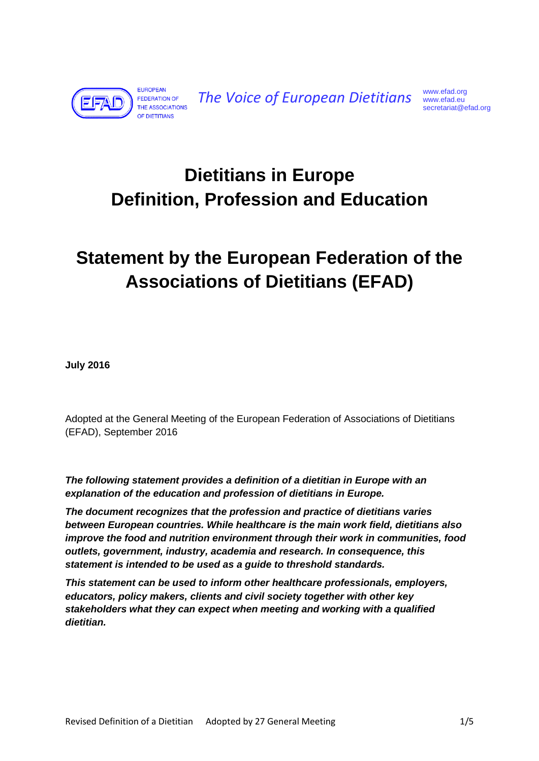

*The Voice of European Dietitians* [www.efad.org](http://www.efad.org/) [www.efad.eu](http://www.efad.eu/)

## **Dietitians in Europe Definition, Profession and Education**

# **Statement by the European Federation of the Associations of Dietitians (EFAD)**

**July 2016**

Adopted at the General Meeting of the European Federation of Associations of Dietitians (EFAD), September 2016

*The following statement provides a definition of a dietitian in Europe with an explanation of the education and profession of dietitians in Europe.* 

*The document recognizes that the profession and practice of dietitians varies between European countries. While healthcare is the main work field, dietitians also improve the food and nutrition environment through their work in communities, food outlets, government, industry, academia and research. In consequence, this statement is intended to be used as a guide to threshold standards.* 

*This statement can be used to inform other healthcare professionals, employers, educators, policy makers, clients and civil society together with other key stakeholders what they can expect when meeting and working with a qualified dietitian.*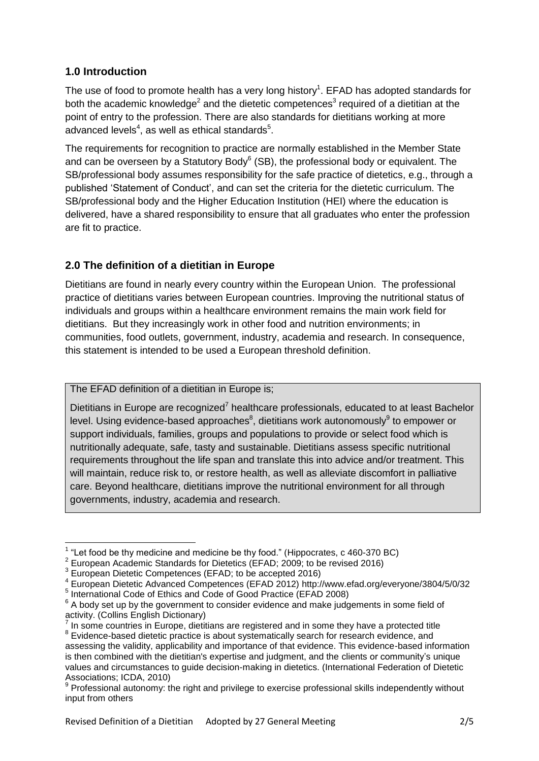#### **1.0 Introduction**

The use of food to promote health has a very long history<sup>1</sup>. EFAD has adopted standards for both the academic knowledge<sup>2</sup> and the dietetic competences<sup>3</sup> required of a dietitian at the point of entry to the profession. There are also standards for dietitians working at more advanced levels<sup>4</sup>, as well as ethical standards<sup>5</sup>.

The requirements for recognition to practice are normally established in the Member State and can be overseen by a Statutory Body $6$  (SB), the professional body or equivalent. The SB/professional body assumes responsibility for the safe practice of dietetics, e.g., through a published "Statement of Conduct", and can set the criteria for the dietetic curriculum. The SB/professional body and the Higher Education Institution (HEI) where the education is delivered, have a shared responsibility to ensure that all graduates who enter the profession are fit to practice.

### **2.0 The definition of a dietitian in Europe**

Dietitians are found in nearly every country within the European Union. The professional practice of dietitians varies between European countries. Improving the nutritional status of individuals and groups within a healthcare environment remains the main work field for dietitians. But they increasingly work in other food and nutrition environments; in communities, food outlets, government, industry, academia and research. In consequence, this statement is intended to be used a European threshold definition.

The EFAD definition of a dietitian in Europe is;

Dietitians in Europe are recognized<sup>7</sup> healthcare professionals, educated to at least Bachelor level. Using evidence-based approaches $^8$ , dietitians work autonomously $^9$  to empower or support individuals, families, groups and populations to provide or select food which is nutritionally adequate, safe, tasty and sustainable. Dietitians assess specific nutritional requirements throughout the life span and translate this into advice and/or treatment. This will maintain, reduce risk to, or restore health, as well as alleviate discomfort in palliative care. Beyond healthcare, dietitians improve the nutritional environment for all through governments, industry, academia and research.

 1 "Let food be thy medicine and medicine be thy food." (Hippocrates, c 460-370 BC)

<sup>&</sup>lt;sup>2</sup> European Academic Standards for Dietetics (EFAD; 2009; to be revised 2016)

<sup>&</sup>lt;sup>3</sup> European Dietetic Competences (EFAD; to be accepted 2016)

<sup>4</sup> European Dietetic Advanced Competences (EFAD 2012)<http://www.efad.org/everyone/3804/5/0/32>

<sup>5</sup> International Code of Ethics and Code of Good Practice (EFAD 2008)

 $6$  A body set up by the government to [consider](http://www.collinsdictionary.com/dictionary/english/consider) [evidence](http://www.collinsdictionary.com/dictionary/english/evidence) and make judgements in some [field](http://www.collinsdictionary.com/dictionary/english/field) of [activity.](http://www.collinsdictionary.com/dictionary/english/activity) (Collins English Dictionary)<br><sup>7</sup> In some countries in Europe, dicti

In some countries in Europe, dietitians are registered and in some they have a protected title <sup>8</sup> Evidence-based dietetic practice is about systematically search for research evidence, and assessing the validity, applicability and importance of that evidence. This evidence-based information is then combined with the dietitian's expertise and judgment, and the clients or community"s unique values and circumstances to guide decision-making in dietetics. (International Federation of Dietetic Associations; ICDA, 2010)

<sup>&</sup>lt;sup>9</sup> Professional autonomy: the right and privilege to exercise professional skills independently without input from others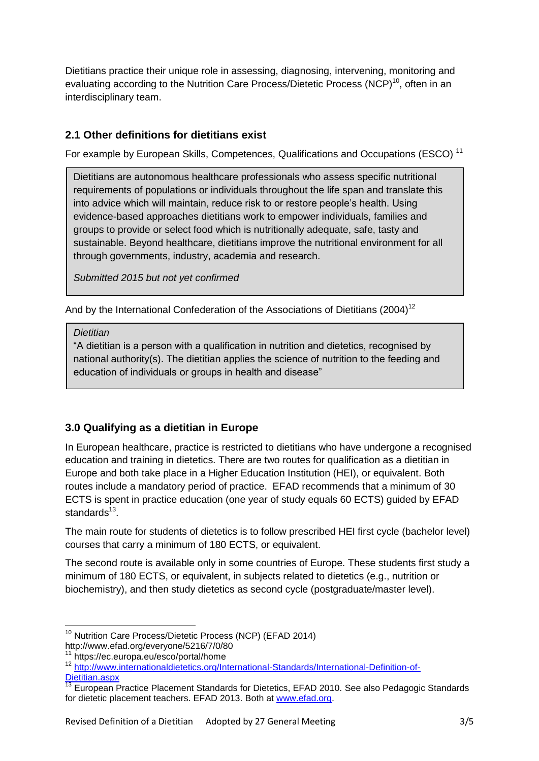Dietitians practice their unique role in assessing, diagnosing, intervening, monitoring and evaluating according to the Nutrition Care Process/Dietetic Process (NCP)<sup>10</sup>, often in an interdisciplinary team.

#### **2.1 Other definitions for dietitians exist**

For example by European Skills, Competences, Qualifications and Occupations (ESCO)<sup>11</sup>

Dietitians are autonomous healthcare professionals who assess specific nutritional requirements of populations or individuals throughout the life span and translate this into advice which will maintain, reduce risk to or restore people"s health. Using evidence-based approaches dietitians work to empower individuals, families and groups to provide or select food which is nutritionally adequate, safe, tasty and sustainable. Beyond healthcare, dietitians improve the nutritional environment for all through governments, industry, academia and research.

*Submitted 2015 but not yet confirmed*

And by the International Confederation of the Associations of Dietitians (2004)<sup>12</sup>

*Dietitian*

"A dietitian is a person with a qualification in nutrition and dietetics, recognised by national authority(s). The dietitian applies the science of nutrition to the feeding and education of individuals or groups in health and disease"

#### **3.0 Qualifying as a dietitian in Europe**

In European healthcare, practice is restricted to dietitians who have undergone a recognised education and training in dietetics. There are two routes for qualification as a dietitian in Europe and both take place in a Higher Education Institution (HEI), or equivalent. Both routes include a mandatory period of practice. EFAD recommends that a minimum of 30 ECTS is spent in practice education (one year of study equals 60 ECTS) guided by EFAD standards<sup>13</sup>.

The main route for students of dietetics is to follow prescribed HEI first cycle (bachelor level) courses that carry a minimum of 180 ECTS, or equivalent.

The second route is available only in some countries of Europe. These students first study a minimum of 180 ECTS, or equivalent, in subjects related to dietetics (e.g., nutrition or biochemistry), and then study dietetics as second cycle (postgraduate/master level).

 $\overline{\phantom{a}}$ <sup>10</sup> Nutrition Care Process/Dietetic Process (NCP) (EFAD 2014) http://www.efad.org/everyone/5216/7/0/80

<sup>11</sup> https://ec.europa.eu/esco/portal/home

<sup>&</sup>lt;sup>12</sup> [http://www.internationaldietetics.org/International-Standards/International-Definition-of-](http://www.internationaldietetics.org/International-Standards/International-Definition-of-Dietitian.aspx)[Dietitian.aspx](http://www.internationaldietetics.org/International-Standards/International-Definition-of-Dietitian.aspx)

<sup>13</sup> European Practice Placement Standards for Dietetics, EFAD 2010. See also Pedagogic Standards for dietetic placement teachers. EFAD 2013. Both at [www.efad.org.](http://www.efad.org/)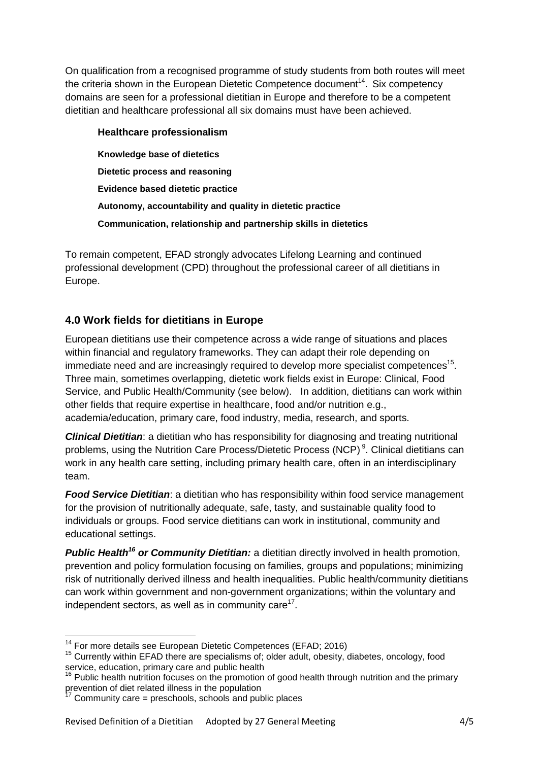On qualification from a recognised programme of study students from both routes will meet the criteria shown in the European Dietetic Competence document<sup>14</sup>. Six competency domains are seen for a professional dietitian in Europe and therefore to be a competent dietitian and healthcare professional all six domains must have been achieved.

| Healthcare professionalism                                      |
|-----------------------------------------------------------------|
| Knowledge base of dietetics                                     |
| Dietetic process and reasoning                                  |
| Evidence based dietetic practice                                |
| Autonomy, accountability and quality in dietetic practice       |
| Communication, relationship and partnership skills in dietetics |

To remain competent, EFAD strongly advocates Lifelong Learning and continued professional development (CPD) throughout the professional career of all dietitians in Europe.

#### **4.0 Work fields for dietitians in Europe**

European dietitians use their competence across a wide range of situations and places within financial and regulatory frameworks. They can adapt their role depending on immediate need and are increasingly required to develop more specialist competences<sup>15</sup>. Three main, sometimes overlapping, dietetic work fields exist in Europe: Clinical, Food Service, and Public Health/Community (see below). In addition, dietitians can work within other fields that require expertise in healthcare, food and/or nutrition e.g., academia/education, primary care, food industry, media, research, and sports.

*Clinical Dietitian*: a dietitian who has responsibility for diagnosing and treating nutritional problems, using the Nutrition Care Process/Dietetic Process (NCP)<sup>9</sup>. Clinical dietitians can work in any health care setting, including primary health care, often in an interdisciplinary team.

*Food Service Dietitian*: a dietitian who has responsibility within food service management for the provision of nutritionally adequate, safe, tasty, and sustainable quality food to individuals or groups. Food service dietitians can work in institutional, community and educational settings.

*Public Health<sup>16</sup> or Community Dietitian:* a dietitian directly involved in health promotion, prevention and policy formulation focusing on families, groups and populations; minimizing risk of nutritionally derived illness and health inequalities. Public health/community dietitians can work within government and non-government organizations; within the voluntary and independent sectors, as well as in community care $17$ .

**<sup>.</sup>** <sup>14</sup> For more details see European Dietetic Competences (EFAD; 2016)

<sup>&</sup>lt;sup>15</sup> Currently within EFAD there are specialisms of; older adult, obesity, diabetes, oncology, food service, education, primary care and public health

 $16$  Public health nutrition focuses on the promotion of good health through nutrition and the primary prevention of diet related illness in the population

<sup>17</sup> Community care = preschools, schools and public places